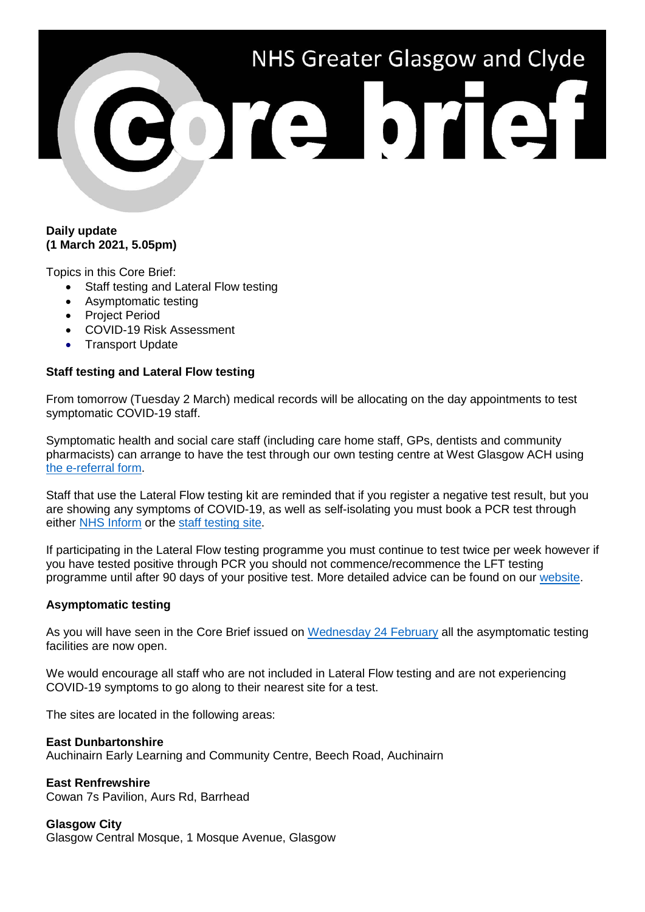# NHS Greater Glasgow and Clyde ore brief

### **Daily update (1 March 2021, 5.05pm)**

Topics in this Core Brief:

- Staff testing and Lateral Flow testing
- Asymptomatic testing
- Project Period
- COVID-19 Risk Assessment
- Transport Update

## **Staff testing and Lateral Flow testing**

From tomorrow (Tuesday 2 March) medical records will be allocating on the day appointments to test symptomatic COVID-19 staff.

Symptomatic health and social care staff (including care home staff, GPs, dentists and community pharmacists) can arrange to have the test through our own testing centre at West Glasgow ACH using [the e-referral form.](https://forms.office.com/Pages/ResponsePage.aspx?id=veDvEDCgykuAnLXmdF5JmgW9YoY5w-BDlHK7ghonYUBURTJBTFE0UEFBN0I2ODU3S0lFNTJJUjYzTiQlQCN0PWcu&fbclid=IwAR0AMSJxdG23yXuvGn6hl6_6i58IvSNVTVOJiRDZDgmWwRvKuLXnHrU1HJQ)

Staff that use the Lateral Flow testing kit are reminded that if you register a negative test result, but you are showing any symptoms of COVID-19, as well as self-isolating you must book a PCR test through either [NHS Inform](https://www.nhsinform.scot/illnesses-and-conditions/infections-and-poisoning/coronavirus-covid-19/test-and-protect/coronavirus-covid-19-testing) or the [staff testing site.](https://www.nhsggc.org.uk/your-health/health-issues/covid-19-coronavirus/for-nhsggc-staff/testing-for-staff-and-their-household-contacts/)

If participating in the Lateral Flow testing programme you must continue to test twice per week however if you have tested positive through PCR you should not commence/recommence the LFT testing programme until after 90 days of your positive test. More detailed advice can be found on our [website.](https://www.nhsggc.org.uk/your-health/health-issues/covid-19-coronavirus/for-nhsggc-staff/lateral-flow-device-testing-guidance/)

### **Asymptomatic testing**

As you will have seen in the Core Brief issued on [Wednesday 24 February](https://www.nhsggc.org.uk/media/265549/038-core-brief-24-february-2021-daily-update-610pm.pdf) all the asymptomatic testing facilities are now open.

We would encourage all staff who are not included in Lateral Flow testing and are not experiencing COVID-19 symptoms to go along to their nearest site for a test.

The sites are located in the following areas:

### **East Dunbartonshire**

Auchinairn Early Learning and Community Centre, Beech Road, Auchinairn

# **East Renfrewshire**

Cowan 7s Pavilion, Aurs Rd, Barrhead

# **Glasgow City**

Glasgow Central Mosque, 1 Mosque Avenue, Glasgow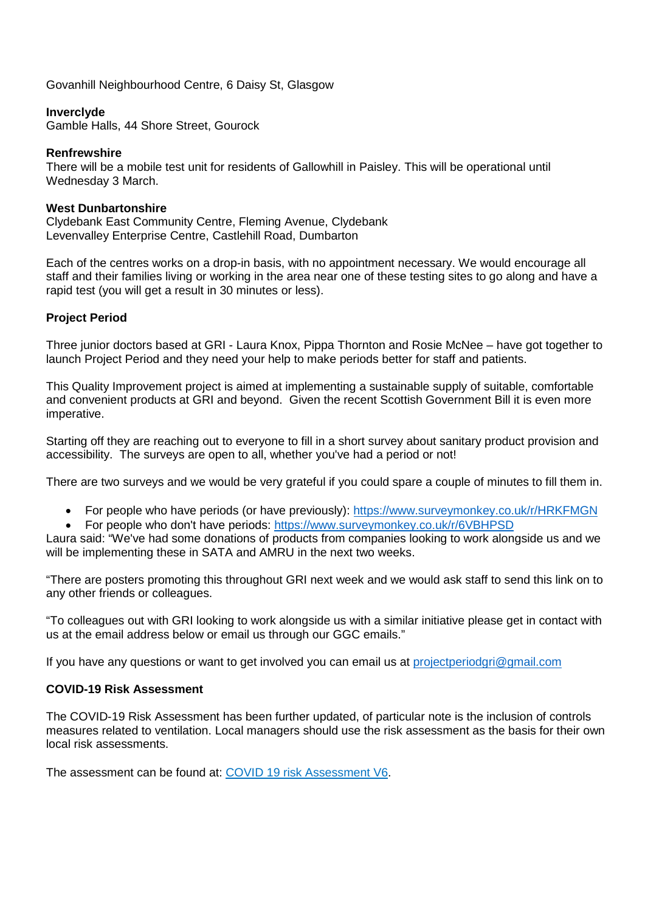Govanhill Neighbourhood Centre, 6 Daisy St, Glasgow

### **Inverclyde**

Gamble Halls, 44 Shore Street, Gourock

### **Renfrewshire**

There will be a mobile test unit for residents of Gallowhill in Paisley. This will be operational until Wednesday 3 March.

### **West Dunbartonshire**

Clydebank East Community Centre, Fleming Avenue, Clydebank Levenvalley Enterprise Centre, Castlehill Road, Dumbarton

Each of the centres works on a drop-in basis, with no appointment necessary. We would encourage all staff and their families living or working in the area near one of these testing sites to go along and have a rapid test (you will get a result in 30 minutes or less).

### **Project Period**

Three junior doctors based at GRI - Laura Knox, Pippa Thornton and Rosie McNee – have got together to launch Project Period and they need your help to make periods better for staff and patients.

This Quality Improvement project is aimed at implementing a sustainable supply of suitable, comfortable and convenient products at GRI and beyond. Given the recent Scottish Government Bill it is even more imperative.

Starting off they are reaching out to everyone to fill in a short survey about sanitary product provision and accessibility. The surveys are open to all, whether you've had a period or not!

There are two surveys and we would be very grateful if you could spare a couple of minutes to fill them in.

- For people who have periods (or have previously):<https://www.surveymonkey.co.uk/r/HRKFMGN>
- For people who don't have periods: <https://www.surveymonkey.co.uk/r/6VBHPSD>

Laura said: "We've had some donations of products from companies looking to work alongside us and we will be implementing these in SATA and AMRU in the next two weeks.

"There are posters promoting this throughout GRI next week and we would ask staff to send this link on to any other friends or colleagues.

"To colleagues out with GRI looking to work alongside us with a similar initiative please get in contact with us at the email address below or email us through our GGC emails."

If you have any questions or want to get involved you can email us at [projectperiodgri@gmail.com](mailto:projectperiodgri@gmail.com)

### **COVID-19 Risk Assessment**

The COVID-19 Risk Assessment has been further updated, of particular note is the inclusion of controls measures related to ventilation. Local managers should use the risk assessment as the basis for their own local risk assessments.

The assessment can be found at: [COVID 19 risk Assessment V6.](https://www.nhsggc.org.uk/working-with-us/hr-connect/health-safety/policies-guidance-documents-forms/personal-protective-equipment/respiratory-protection-equipment-ffp3-masks/)